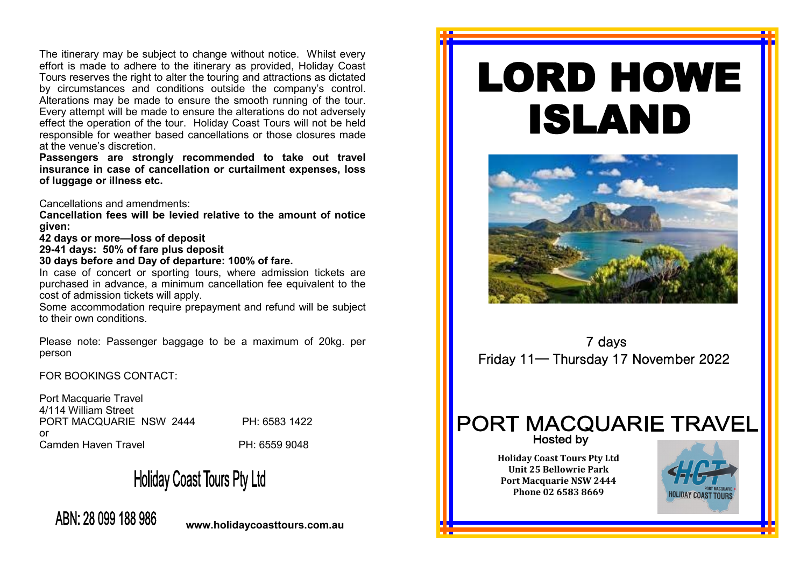The itinerary may be subject to change without notice. Whilst every effort is made to adhere to the itinerary as provided, Holiday Coast Tours reserves the right to alter the touring and attractions as dictated by circumstances and conditions outside the company's control. Alterations may be made to ensure the smooth running of the tour. Every attempt will be made to ensure the alterations do not adversely effect the operation of the tour. Holiday Coast Tours will not be held responsible for weather based cancellations or those closures made at the venue's discretion.

**Passengers are strongly recommended to take out travel insurance in case of cancellation or curtailment expenses, loss of luggage or illness etc.** 

Cancellations and amendments:

**Cancellation fees will be levied relative to the amount of notice given:**

**42 days or more—loss of deposit**

**29-41 days: 50% of fare plus deposit**

**30 days before and Day of departure: 100% of fare.**

In case of concert or sporting tours, where admission tickets are purchased in advance, a minimum cancellation fee equivalent to the cost of admission tickets will apply.

Some accommodation require prepayment and refund will be subject to their own conditions.

Please note: Passenger baggage to be a maximum of 20kg. per person

FOR BOOKINGS CONTACT:

Port Macquarie Travel 4/114 William Street PORT MACQUARIE NSW 2444 PH: 6583 1422 or Camden Haven Travel **PH: 6559 9048** 

**Holiday Coast Tours Pty Ltd** 

## ABN: 28 099 188 986

**www.holidaycoasttours.com.au**

# LORD HOWE ISLAND



 7 days Friday 11— Thursday 17 November 2022

## **PORT MACQUARIE TRAVEL Hosted by**

**Holiday Coast Tours Pty Ltd Unit 25 Bellowrie Park Port Macquarie NSW 2444 Phone 02 6583 8669**

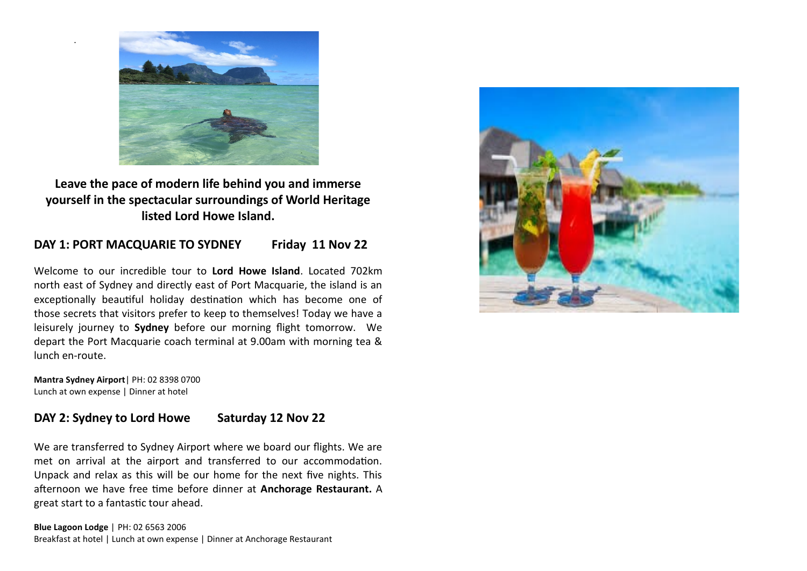

**Leave the pace of modern life behind you and immerse yourself in the spectacular surroundings of World Heritage listed Lord Howe Island.**

#### DAY 1: PORT MACQUARIE TO SYDNEY Friday 11 Nov 22

Welcome to our incredible tour to **Lord Howe Island**. Located 702km north east of Sydney and directly east of Port Macquarie, the island is an exceptionally beautiful holiday destination which has become one of those secrets that visitors prefer to keep to themselves! Today we have a leisurely journey to **Sydney** before our morning flight tomorrow. We depart the Port Macquarie coach terminal at 9.00am with morning tea & lunch en-route.

**Mantra Sydney Airport**| PH: 02 8398 0700 Lunch at own expense | Dinner at hotel

.

#### **DAY 2: Sydney to Lord Howe Saturday 12 Nov 22**

We are transferred to Sydney Airport where we board our flights. We are met on arrival at the airport and transferred to our accommodation. Unpack and relax as this will be our home for the next five nights. This afternoon we have free time before dinner at **Anchorage Restaurant.** A great start to a fantastic tour ahead.

**Blue Lagoon Lodge** | PH: 02 6563 2006 Breakfast at hotel | Lunch at own expense | Dinner at Anchorage Restaurant

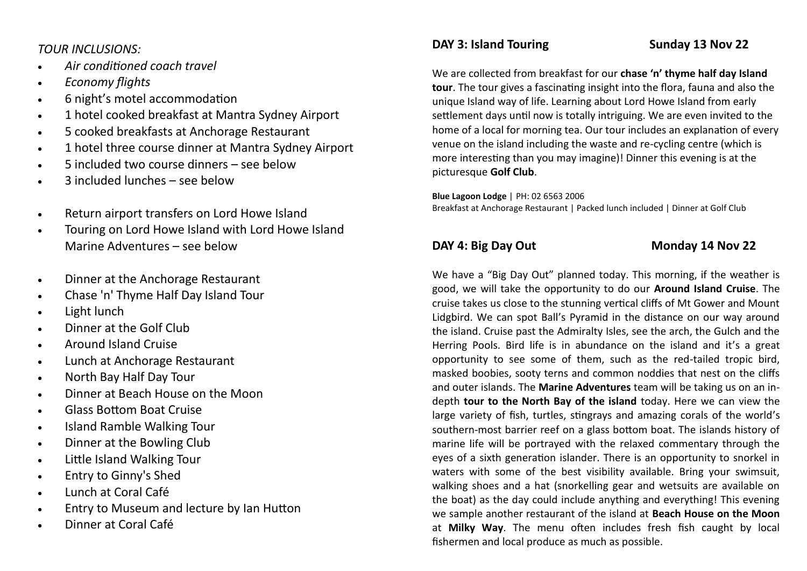#### *TOUR INCLUSIONS:*

- *Air conditioned coach travel*
- *Economy flights*
- 6 night's motel accommodation
- 1 hotel cooked breakfast at Mantra Sydney Airport
- 5 cooked breakfasts at Anchorage Restaurant
- 1 hotel three course dinner at Mantra Sydney Airport
- 5 included two course dinners see below
- 3 included lunches see below
- Return airport transfers on Lord Howe Island
- Touring on Lord Howe Island with Lord Howe Island Marine Adventures – see below
- Dinner at the Anchorage Restaurant
- Chase 'n' Thyme Half Day Island Tour
- Light lunch
- Dinner at the Golf Club
- Around Island Cruise
- Lunch at Anchorage Restaurant
- North Bay Half Day Tour
- Dinner at Beach House on the Moon
- Glass Bottom Boat Cruise
- Island Ramble Walking Tour
- Dinner at the Bowling Club
- Little Island Walking Tour
- Entry to Ginny's Shed
- Lunch at Coral Café
- Entry to Museum and lecture by Ian Hutton
- Dinner at Coral Café

## **DAY 3: Island Touring Sunday 13 Nov 22**

We are collected from breakfast for our **chase 'n' thyme half day Island tour**. The tour gives a fascinating insight into the flora, fauna and also the unique Island way of life. Learning about Lord Howe Island from early settlement days until now is totally intriguing. We are even invited to the home of a local for morning tea. Our tour includes an explanation of every venue on the island including the waste and re-cycling centre (which is more interesting than you may imagine)! Dinner this evening is at the picturesque **Golf Club**.

**Blue Lagoon Lodge** | PH: 02 6563 2006

Breakfast at Anchorage Restaurant | Packed lunch included | Dinner at Golf Club

#### **DAY 4: Big Day Out Monday 14 Nov 22**

We have a "Big Day Out" planned today. This morning, if the weather is good, we will take the opportunity to do our **Around Island Cruise**. The cruise takes us close to the stunning vertical cliffs of Mt Gower and Mount Lidgbird. We can spot Ball's Pyramid in the distance on our way around the island. Cruise past the Admiralty Isles, see the arch, the Gulch and the Herring Pools. Bird life is in abundance on the island and it's a great opportunity to see some of them, such as the red-tailed tropic bird, masked boobies, sooty terns and common noddies that nest on the cliffs and outer islands. The **Marine Adventures** team will be taking us on an indepth **tour to the North Bay of the island** today. Here we can view the large variety of fish, turtles, stingrays and amazing corals of the world's southern-most barrier reef on a glass bottom boat. The islands history of marine life will be portrayed with the relaxed commentary through the eyes of a sixth generation islander. There is an opportunity to snorkel in waters with some of the best visibility available. Bring your swimsuit, walking shoes and a hat (snorkelling gear and wetsuits are available on the boat) as the day could include anything and everything! This evening we sample another restaurant of the island at **Beach House on the Moon** at **Milky Way**. The menu often includes fresh fish caught by local fishermen and local produce as much as possible.